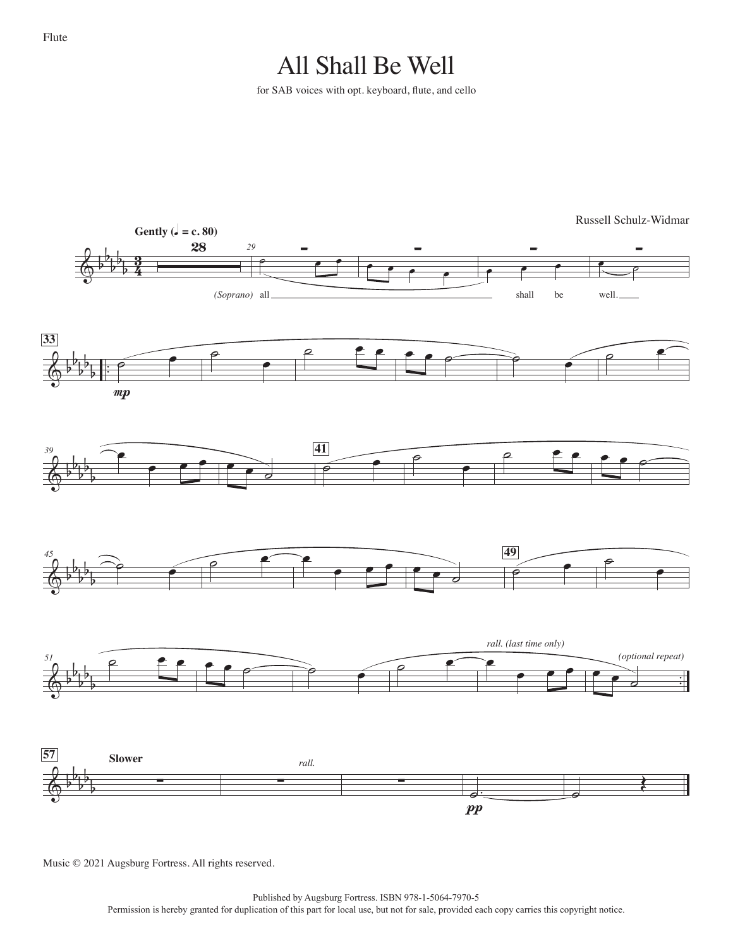## All Shall Be Well

for SAB voices with opt. keyboard, flute, and cello



Music © 2021 Augsburg Fortress. All rights reserved.